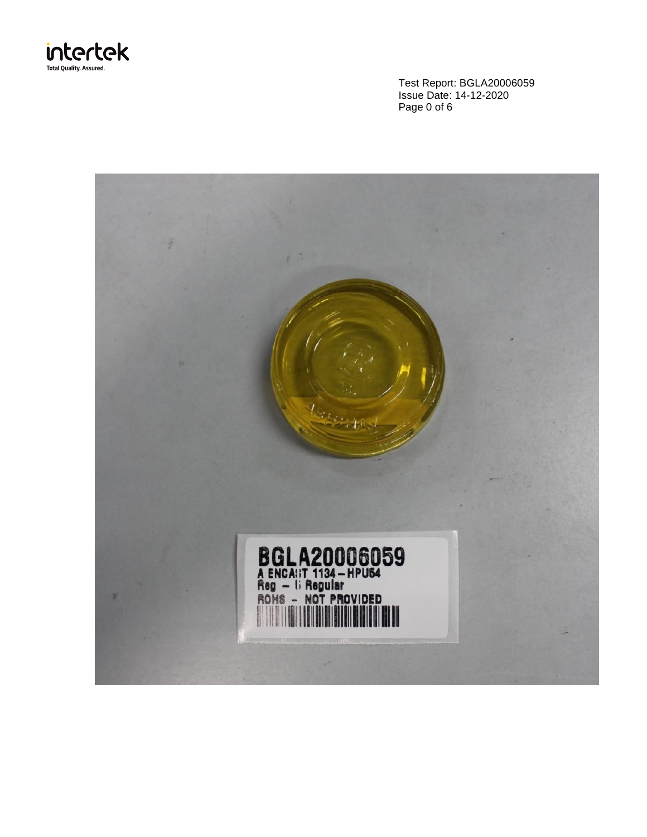

Test Report: BGLA20006059 Issue Date: 14-12-2020 Page 0 of 6

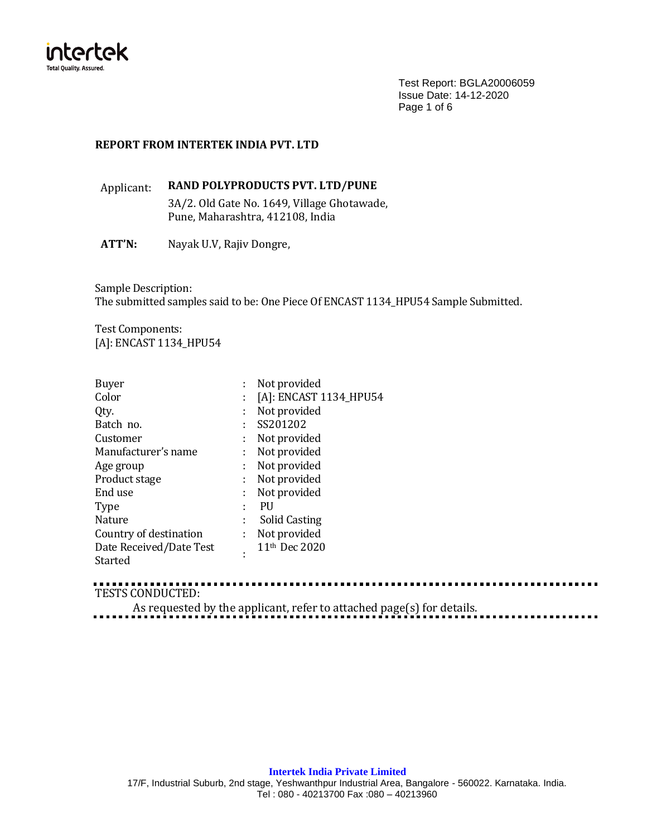

Test Report: BGLA20006059 Issue Date: 14-12-2020 Page 1 of 6

## **REPORT FROM INTERTEK INDIA PVT. LTD**

Applicant: **RAND POLYPRODUCTS PVT. LTD/PUNE** 3A/2. Old Gate No. 1649, Village Ghotawade, Pune, Maharashtra, 412108, India

**ATT'N:** Nayak U.V, Rajiv Dongre,

Sample Description: The submitted samples said to be: One Piece Of ENCAST 1134\_HPU54 Sample Submitted.

Test Components: [A]: ENCAST 1134\_HPU54

| <b>Buyer</b>            |    | Not provided              |
|-------------------------|----|---------------------------|
| Color                   |    | [A]: ENCAST 1134_HPU54    |
| Qty.                    | ÷  | Not provided              |
| Batch no.               | ÷  | SS201202                  |
| Customer                | ÷  | Not provided              |
| Manufacturer's name     | ÷. | Not provided              |
| Age group               | ÷. | Not provided              |
| Product stage           | t  | Not provided              |
| End use                 | ÷  | Not provided              |
| Type                    |    | PU                        |
| <b>Nature</b>           | t  | <b>Solid Casting</b>      |
| Country of destination  | ÷  | Not provided              |
| Date Received/Date Test | ٠  | 11 <sup>th</sup> Dec 2020 |
| Started                 |    |                           |

# TESTS CONDUCTED:

As requested by the applicant, refer to attached page(s) for details.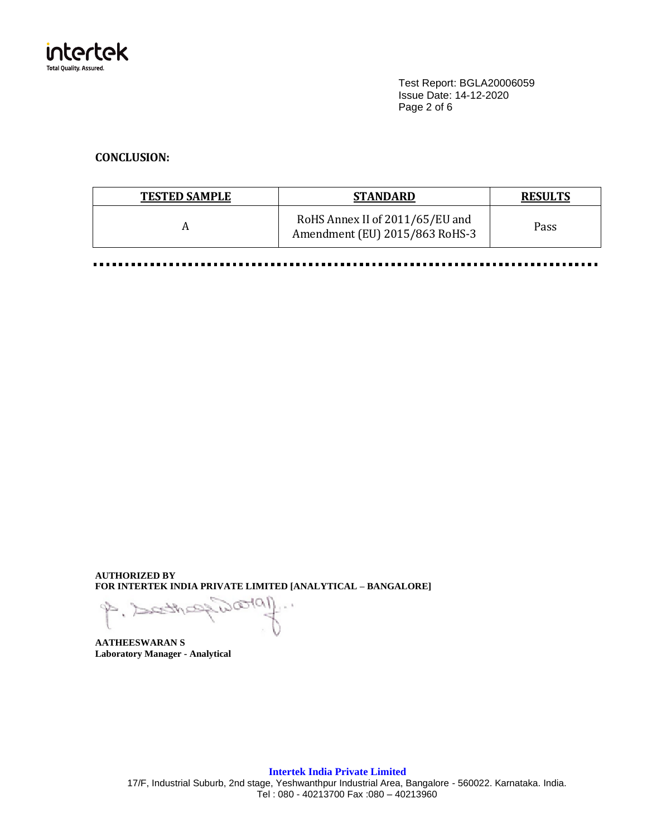

Test Report: BGLA20006059 Issue Date: 14-12-2020 Page 2 of 6

# **CONCLUSION:**

| <b>TESTED SAMPLE</b> | <b>STANDARD</b>                                                   | <b>RESULTS</b> |
|----------------------|-------------------------------------------------------------------|----------------|
|                      | RoHS Annex II of 2011/65/EU and<br>Amendment (EU) 2015/863 RoHS-3 | Pass           |

......... . . . . ............... . . . . . . .  $\blacksquare$ ......... ......  $\blacksquare$ 

**AUTHORIZED BY FOR INTERTEK INDIA PRIVATE LIMITED [ANALYTICAL – BANGALORE]**

**AATHEESWARAN S Laboratory Manager - Analytical**

**Intertek India Private Limited** 17/F, Industrial Suburb, 2nd stage, Yeshwanthpur Industrial Area, Bangalore - 560022. Karnataka. India. Tel : 080 - 40213700 Fax :080 – 40213960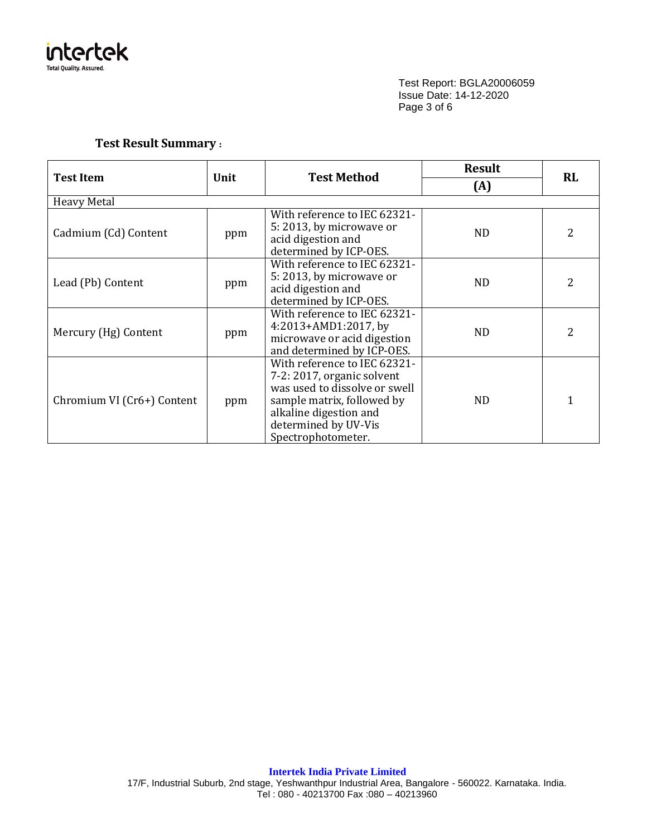

Test Report: BGLA20006059 Issue Date: 14-12-2020 Page 3 of 6

# **Test Result Summary :**

|                            |      | <b>Test Method</b>                                                                                                                                                                                | <b>Result</b>  |           |
|----------------------------|------|---------------------------------------------------------------------------------------------------------------------------------------------------------------------------------------------------|----------------|-----------|
| <b>Test Item</b>           | Unit |                                                                                                                                                                                                   | (A)            | <b>RL</b> |
| <b>Heavy Metal</b>         |      |                                                                                                                                                                                                   |                |           |
| Cadmium (Cd) Content       | ppm  | With reference to IEC 62321-<br>5:2013, by microwave or<br>acid digestion and<br>determined by ICP-OES.                                                                                           | N <sub>D</sub> | 2         |
| Lead (Pb) Content          | ppm  | With reference to IEC 62321-<br>5:2013, by microwave or<br>acid digestion and<br>determined by ICP-OES.                                                                                           | ND.            | 2         |
| Mercury (Hg) Content       | ppm  | With reference to IEC 62321-<br>4:2013+AMD1:2017, by<br>microwave or acid digestion<br>and determined by ICP-OES.                                                                                 | <b>ND</b>      | 2         |
| Chromium VI (Cr6+) Content | ppm  | With reference to IEC 62321-<br>7-2: 2017, organic solvent<br>was used to dissolve or swell<br>sample matrix, followed by<br>alkaline digestion and<br>determined by UV-Vis<br>Spectrophotometer. | ND.            | 1         |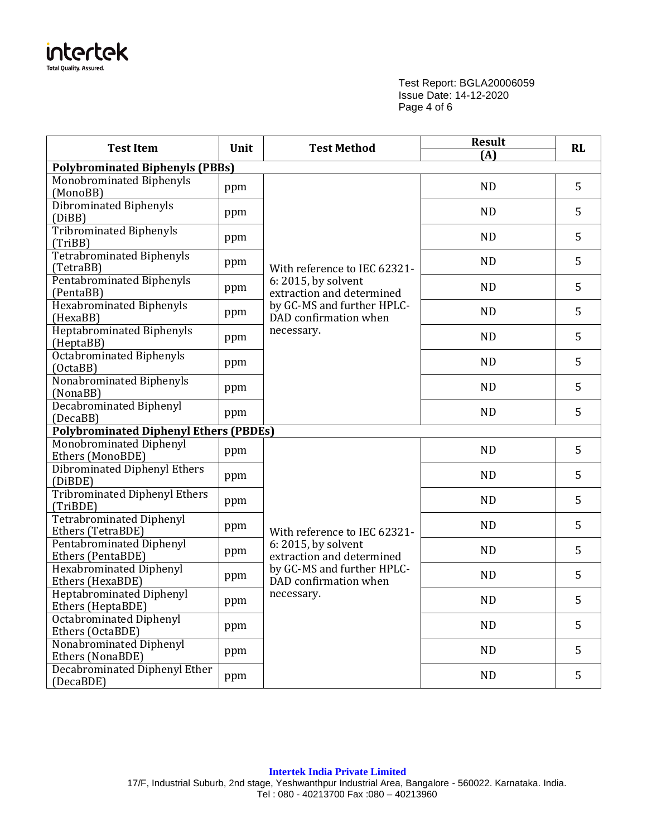

Test Report: BGLA20006059 Issue Date: 14-12-2020 Page 4 of 6

| <b>Test Item</b><br>Unit                             |     | <b>Test Method</b>                                  | <b>Result</b><br>(A) | RL |
|------------------------------------------------------|-----|-----------------------------------------------------|----------------------|----|
| <b>Polybrominated Biphenyls (PBBs)</b>               |     |                                                     |                      |    |
| Monobrominated Biphenyls<br>(MonoBB)                 | ppm |                                                     | <b>ND</b>            | 5  |
| <b>Dibrominated Biphenyls</b><br>(DiBB)              | ppm |                                                     | <b>ND</b>            | 5  |
| <b>Tribrominated Biphenyls</b><br>(TriBB)            | ppm |                                                     | <b>ND</b>            | 5  |
| <b>Tetrabrominated Biphenyls</b><br>(TetraBB)        | ppm | With reference to IEC 62321-                        | <b>ND</b>            | 5  |
| Pentabrominated Biphenyls<br>(PentaBB)               | ppm | 6: 2015, by solvent<br>extraction and determined    | <b>ND</b>            | 5  |
| <b>Hexabrominated Biphenyls</b><br>(HexaBB)          | ppm | by GC-MS and further HPLC-<br>DAD confirmation when | <b>ND</b>            | 5  |
| <b>Heptabrominated Biphenyls</b><br>(HeptaBB)        | ppm | necessary.                                          | <b>ND</b>            | 5  |
| <b>Octabrominated Biphenyls</b><br>(OctaBB)          | ppm |                                                     | <b>ND</b>            | 5  |
| Nonabrominated Biphenyls<br>(NonaBB)                 | ppm |                                                     | <b>ND</b>            | 5  |
| <b>Decabrominated Biphenyl</b><br>(DecaBB)           | ppm |                                                     | <b>ND</b>            | 5  |
| <b>Polybrominated Diphenyl Ethers (PBDEs)</b>        |     |                                                     |                      |    |
| Monobrominated Diphenyl<br>Ethers (MonoBDE)          | ppm |                                                     | <b>ND</b>            | 5  |
| <b>Dibrominated Diphenyl Ethers</b><br>(DiBDE)       | ppm |                                                     | <b>ND</b>            | 5  |
| <b>Tribrominated Diphenyl Ethers</b><br>(TriBDE)     | ppm |                                                     | <b>ND</b>            | 5  |
| <b>Tetrabrominated Diphenyl</b><br>Ethers (TetraBDE) | ppm | With reference to IEC 62321-                        | <b>ND</b>            | 5  |
| <b>Pentabrominated Diphenyl</b><br>Ethers (PentaBDE) | ppm | 6: 2015, by solvent<br>extraction and determined    | <b>ND</b>            | 5  |
| <b>Hexabrominated Diphenyl</b><br>Ethers (HexaBDE)   | ppm | by GC-MS and further HPLC-<br>DAD confirmation when | ND                   | 5  |
| <b>Heptabrominated Diphenyl</b><br>Ethers (HeptaBDE) | ppm | necessary.                                          | <b>ND</b>            | 5  |
| <b>Octabrominated Diphenyl</b><br>Ethers (OctaBDE)   | ppm |                                                     | <b>ND</b>            | 5  |
| Nonabrominated Diphenyl<br>Ethers (NonaBDE)          | ppm |                                                     | <b>ND</b>            | 5  |
| Decabrominated Diphenyl Ether<br>(DecaBDE)           | ppm |                                                     | <b>ND</b>            | 5  |